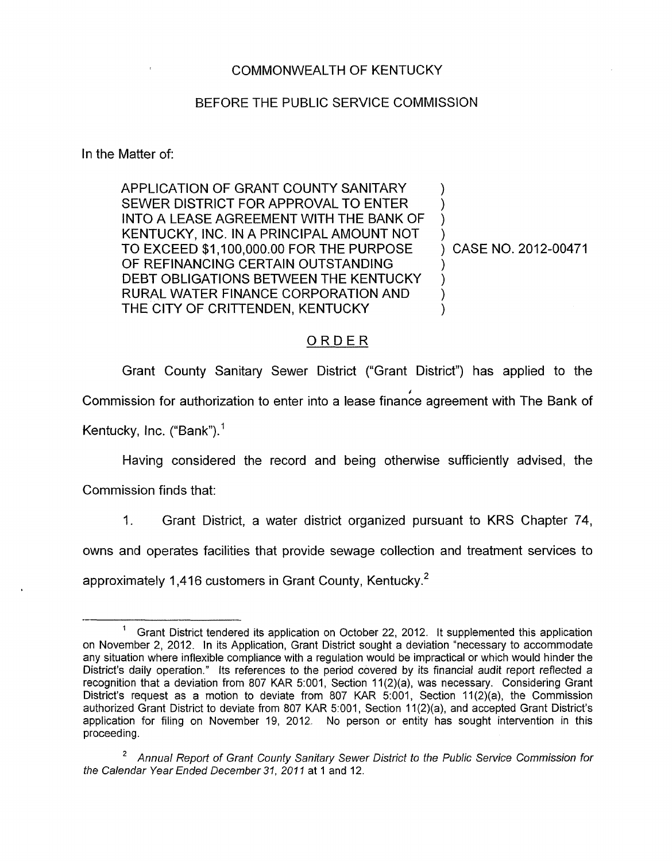## COMMONWEALTH OF KENTUCKY

## BEFORE THE PUBLIC SERVICE COMMISSION

In the Matter of:

APPLICATION OF GRANT COUNTY SANITARY SEWER DISTRICT FOR APPROVAL TO ENTER INTO A LEASE AGREEMENT WITH THE BANK OF MOST CONSIDERED MATHEMATICS.<br>
KENTUCKY, INC. IN A PRINCIPAL AMOUNT NOT<br>
TO EXCEED \$1,100,000.00 FOR THE PURPOSE OF REFINANCING CERTAIN OUTSTANDING DEBT OBLIGATIONS BETWEEN THE KENTUCKY RURAL WATER FINANCE CORPORATION AND THE CITY OF CRITTENDEN, KENTUCKY

) CASE NO. 2012-00471

 $\sum_{i=1}^{n}$ )  $\sum_{i=1}^{n}$  $\sum_{i=1}^{n}$ 

 $\sum_{i=1}^{n}$  $\mathcal{F}$  $\sum_{i=1}^{n}$ 1

## ORDER

Grant County Sanitary Sewer District ("Grant District") has applied to the '<br>'' Commission for authorization to enter into a lease finance agreement with The Bank of Kentucky, Inc. ("Bank"). $<sup>1</sup>$ </sup>

Having considered the record and being otherwise sufficiently advised, the

Commission finds that:

1. Grant District, a water district organized pursuant to KRS Chapter 74,

owns and operates facilities that provide sewage collection and treatment services to

approximately 1,416 customers in Grant County, Kentucky.<sup>2</sup>

Grant District tendered its application on October 22, 2012. it supplemented this application on November 2, 2012. In its Application, Grant District sought a deviation "necessary to accommodate any situation where inflexible compliance with a regulation would be impractical or which would hinder the District's daily operation." Its references to the period covered by its financial audit report reflected a recognition that a deviation from 807 KAR 5:001, Section 11(2)(a), was necessary. Considering Grant District's request as a motion to deviate from 807 KAR 5.001, Section 11(2)(a), the Commission authorized Grant District to deviate from 807 KAR 5:001, Section 11(2)(a), and accepted Grant District's application for filing on November 19, 2012. No person or entity has sought intervention in this proceeding. 1

Annual Repott *of* Grant *County* Sanitary Sewer District *to* the Public Service Commission *for*  **2**  the Calendar Year Ended December *31, 201 I* at 1 and 12.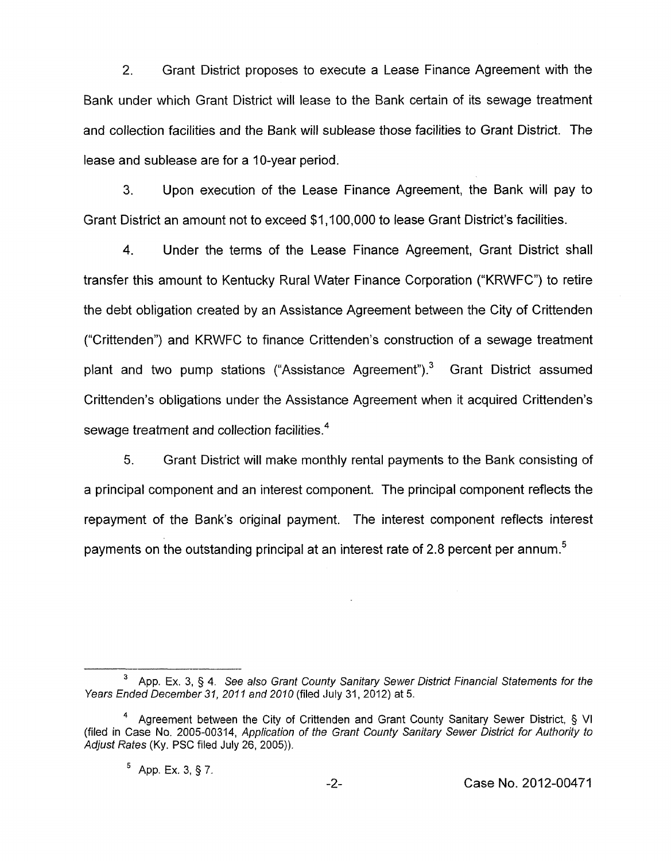2. Grant District proposes to execute a Lease Finance Agreement with the Bank under which Grant District will lease to the Bank certain of its sewage treatment and collection facilities and the Bank will sublease those facilities to Grant District. The lease and sublease are for a IO-year period.

**3.** Upon execution of the Lease Finance Agreement, the Bank will pay to Grant District an amount not to exceed \$1,100,000 to lease Grant District's facilities.

**4.** Under the terms of the Lease Finance Agreement, Grant District shall transfer this amount to Kentucky Rural Water Finance Corporation ("KRWFC") to retire the debt obligation created by an Assistance Agreement between the City of Crittenden ("Crittenden") and KRWFC to finance Crittenden's construction of a sewage treatment plant and two pump stations ("Assistance Agreement"). $3$  Grant District assumed Crittenden's obligations under the Assistance Agreement when it acquired Crittenden's sewage treatment and collection facilities.<sup>4</sup>

5. Grant District will make monthly rental payments to the Bank consisting of a principal component and an interest component. The principal component reflects the repayment of the Bank's original payment. The interest component reflects interest payments on the outstanding principal at an interest rate of 2.8 percent per annum.<sup>5</sup>

<sup>&</sup>lt;sup>3</sup> App. Ex. 3, § 4. See also Grant County Sanitary Sewer District Financial Statements for the *Years Ended December 31, 2011 and 2010* (filed July 31, 2012) at 5.

Agreement between the City of Crittenden and Grant County Sanitary Sewer District, § VI (filed in Case No. 2005-00314, *Application of the Grant County Sanitary Sewer District for Authority to Adjust Rates* (Ky. PSC filed July 26, 2005)). **4** 

 $5$  App. Ex. 3, § 7.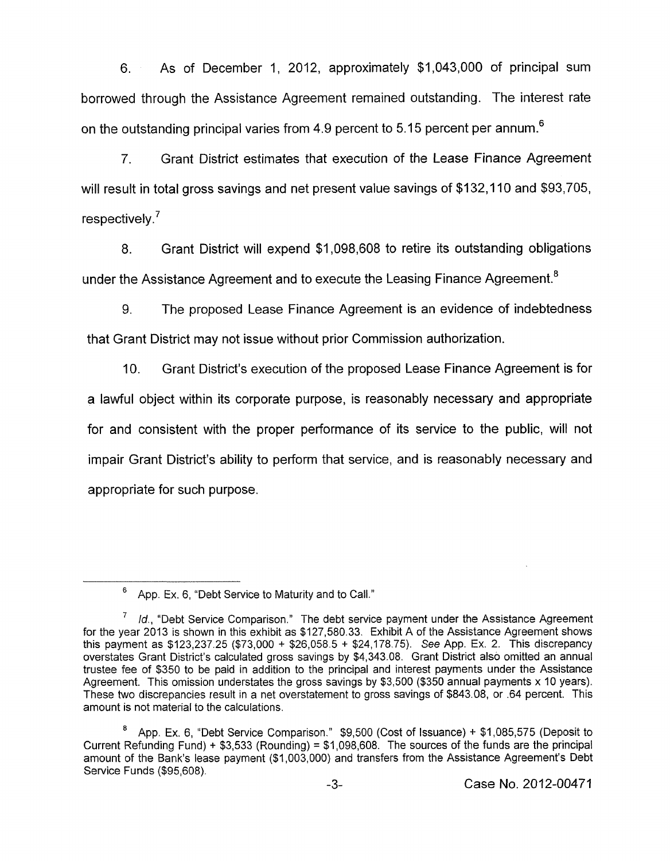*6.* As of December 1, 2012, approximately \$1,043,000 of principal sum borrowed through the Assistance Agreement remained outstanding. The interest rate on the outstanding principal varies from 4.9 percent to 5.15 percent per annum.<sup>6</sup>

7. Grant District estimates that execution of the Lease Finance Agreement will result in total gross savings and net present value savings of \$132,110 and \$93,705, respectively.'

8. Grant District will expend \$1,098,608 to retire its outstanding obligations under the Assistance Agreement and to execute the Leasing Finance Agreement.<sup>8</sup>

9. The proposed Lease Finance Agreement is an evidence of indebtedness that Grant District may not issue without prior Commission authorization.

IO. Grant District's execution of the proposed Lease Finance Agreement is for a lawful object within its corporate purpose, is reasonably necessary and appropriate for and consistent with the proper performance of its service to the public, will not impair Grant District's ability to perform that service, and is reasonably necessary and appropriate for such purpose.

App. Ex. 6, "Debt Service to Maturity and to Call." **6** 

<sup>&</sup>lt;sup>7</sup> Id., "Debt Service Comparison." The debt service payment under the Assistance Agreement for the year 2013 is shown in this exhibit as \$127,580.33. Exhibit A of the Assistance Agreement shows this payment as \$123,237.25 (\$73,000 + \$26,058.5 + \$24,178.75). See App. Ex. 2. This discrepancy overstates Grant District's calculated gross savings by \$4,343.08. Grant District also omitted an annual trustee fee of \$350 to be paid in addition to the principal and interest payments under the Assistance Agreement. This omission understates the gross savings by \$3,500 (\$350 annual payments x 10 years). These two discrepancies result in a net overstatement to gross savings of \$843.08, or .64 percent. This amount is not material to the calculations.

App. Ex. 6, "Debt Service Comparison." \$9,500 (Cost of Issuance) + \$1,085,575 (Deposit to Current Refunding Fund) + \$3,533 (Rounding) = \$1,098,608. The sources of the funds are the principal amount of the Bank's lease payment (\$1,003,000) and transfers from the Assistance Agreement's Debt Service Funds (\$95,608). **8**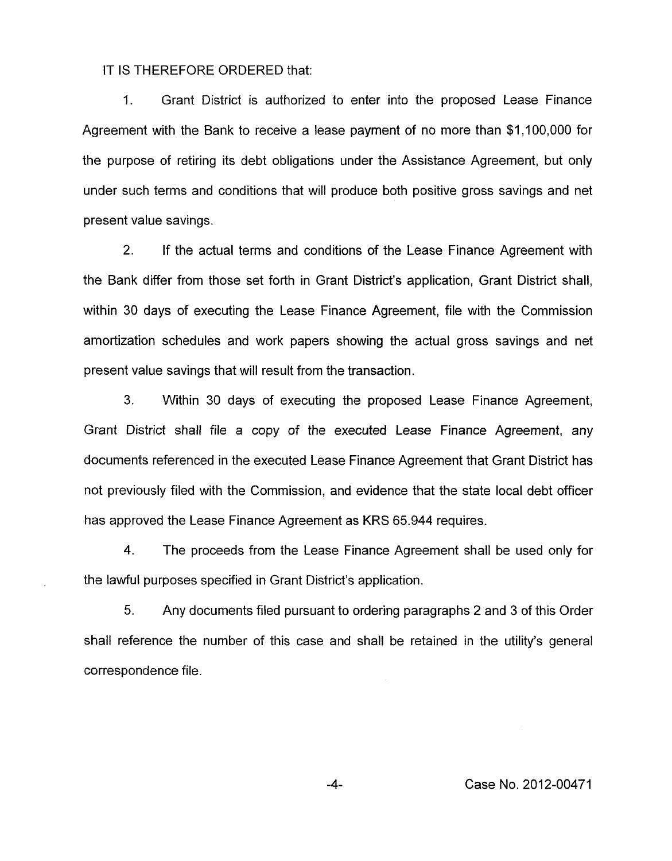IT IS THEREFORE ORDERED that:

I. Grant District is authorized to enter into the proposed Lease Finance Agreement with the Bank to receive a lease payment of no more than \$1,100,000 for the purpose of retiring its debt obligations under the Assistance Agreement, but only under such terms and conditions that will produce both positive gross savings and net present value savings.

2. If the actual terms and conditions of the Lease Finance Agreement with the Bank differ from those set forth in Grant District's application, Grant District shall, within 30 days of executing the Lease Finance Agreement, file with the Commission amortization schedules and work papers showing the actual gross savings and net present value savings that will result from the transaction.

**3.** Within 30 days of executing the proposed Lease Finance Agreement, Grant District shall file a copy of the executed Lease Finance Agreement, any documents referenced in the executed Lease Finance Agreement that Grant District has not previously filed with the Commission, and evidence that the state local debt officer has approved the Lease Finance Agreement as **KRS** 65.944 requires.

4. The proceeds from the Lease Finance Agreement shall be used only for the lawful purposes specified in Grant District's application.

5. Any documents filed pursuant to ordering paragraphs 2 and 3 of this Order shall reference the number of this case and shall be retained in the utility's general correspondence file.

-4- Case No. 2012-00471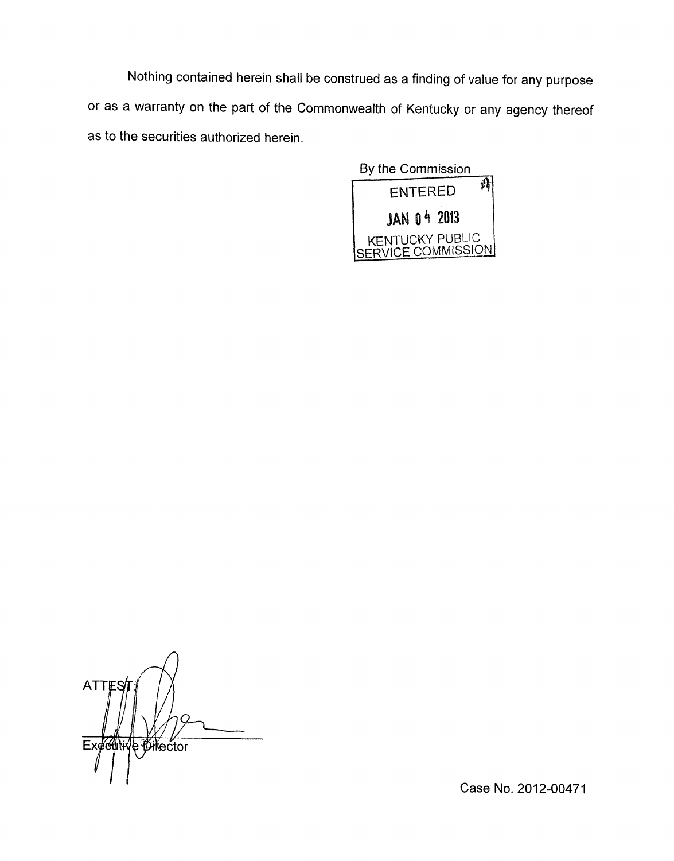Nothing contained herein shall be construed as a finding of value for any purpose or as a warranty on the part of the Commonwealth of Kentucky or any agency thereof as to the securities authorized herein.



**ATTE Executiv** e Øikector

Case No. 2012-00471